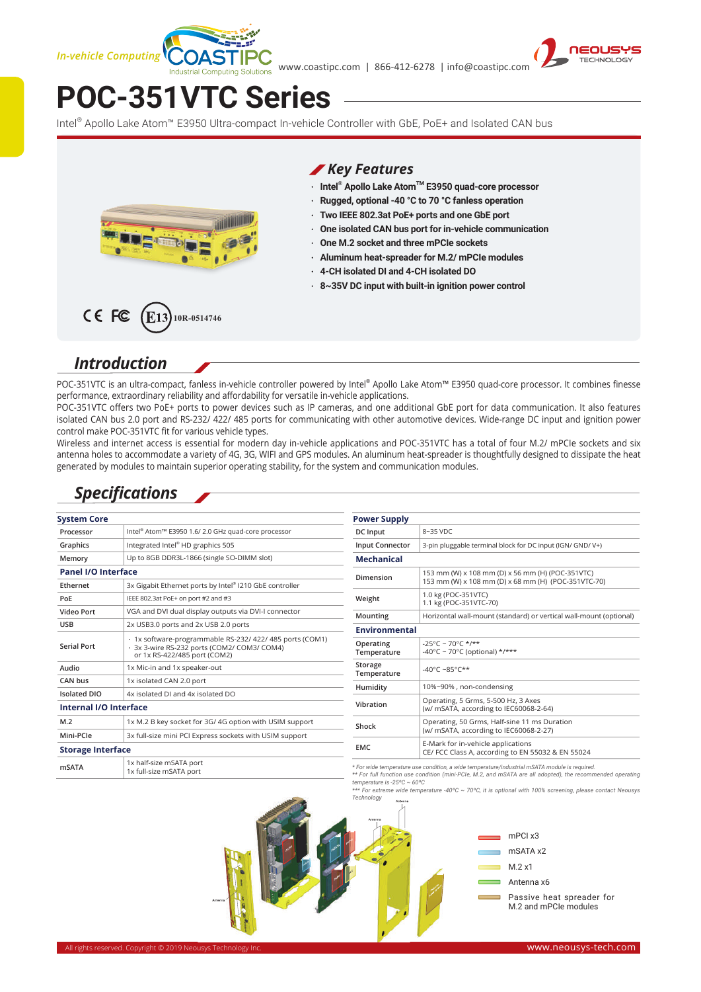

www.coastipc.com | 866-412-6278 | info@coastipc.com



# **POC-351VTC Series**

Intel® Apollo Lake Atom™ E3950 Ultra-compact In-vehicle Controller with GbE, PoE+ and Isolated CAN bus



#### *Key Features*

- **‧ Intel® Apollo Lake AtomTM E3950 quad-core processor**
- **‧ Rugged, optional -40 °C to 70 °C fanless operation**
- **‧ Two IEEE 802.3at PoE+ ports and one GbE port**
- **‧ One isolated CAN bus port for in-vehicle communication**
- **‧ One M.2 socket and three mPCIe sockets**
- **‧ Aluminum heat-spreader for M.2/ mPCIe modules**
- **‧ 4-CH isolated DI and 4-CH isolated DO**
- **‧ 8~35V DC input with built-in ignition power control**

#### CE FC  $F13$ **10R-0514746**

#### *Introduction*

POC-351VTC is an ultra-compact, fanless in-vehicle controller powered by Intel® Apollo Lake Atom™ E3950 quad-core processor. It combines finesse performance, extraordinary reliability and affordability for versatile in-vehicle applications.

POC-351VTC offers two PoE+ ports to power devices such as IP cameras, and one additional GbE port for data communication. It also features isolated CAN bus 2.0 port and RS-232/ 422/ 485 ports for communicating with other automotive devices. Wide-range DC input and ignition power control make POC-351VTC fit for various vehicle types.

Wireless and internet access is essential for modern day in-vehicle applications and POC-351VTC has a total of four M.2/ mPCIe sockets and six antenna holes to accommodate a variety of 4G, 3G, WIFI and GPS modules. An aluminum heat-spreader is thoughtfully designed to dissipate the heat generated by modules to maintain superior operating stability, for the system and communication modules.

### *Specifications*

| <b>System Core</b>         |                                                                                                                                         | <b>Power Supply</b>                                                                                                                                                                                   |                                                                                         |
|----------------------------|-----------------------------------------------------------------------------------------------------------------------------------------|-------------------------------------------------------------------------------------------------------------------------------------------------------------------------------------------------------|-----------------------------------------------------------------------------------------|
| Processor                  | Intel <sup>®</sup> Atom <sup>™</sup> E3950 1.6/ 2.0 GHz quad-core processor                                                             | DC Input                                                                                                                                                                                              | 8~35 VDC                                                                                |
| Graphics                   | Integrated Intel® HD graphics 505                                                                                                       | <b>Input Connector</b>                                                                                                                                                                                | 3-pin pluggable terminal block for DC input (IGN/ GND/ V+)                              |
| Memory                     | Up to 8GB DDR3L-1866 (single SO-DIMM slot)                                                                                              | <b>Mechanical</b>                                                                                                                                                                                     |                                                                                         |
| <b>Panel I/O Interface</b> |                                                                                                                                         | Dimension                                                                                                                                                                                             | 153 mm (W) x 108 mm (D) x 56 mm (H) (POC-351VTC)                                        |
| Ethernet                   | 3x Gigabit Ethernet ports by Intel® I210 GbE controller                                                                                 |                                                                                                                                                                                                       | 153 mm (W) x 108 mm (D) x 68 mm (H) (POC-351VTC-70)                                     |
| PoE                        | IEEE 802.3at PoE+ on port #2 and #3                                                                                                     | Weight                                                                                                                                                                                                | 1.0 kg (POC-351VTC)<br>1.1 kg (POC-351VTC-70)                                           |
| <b>Video Port</b>          | VGA and DVI dual display outputs via DVI-I connector                                                                                    | Mounting                                                                                                                                                                                              | Horizontal wall-mount (standard) or vertical wall-mount (optional                       |
| <b>USB</b>                 | 2x USB3.0 ports and 2x USB 2.0 ports                                                                                                    | Environmental                                                                                                                                                                                         |                                                                                         |
| <b>Serial Port</b>         | · 1x software-programmable RS-232/ 422/ 485 ports (COM1)<br>- 3x 3-wire RS-232 ports (COM2/ COM3/ COM4)<br>or 1x RS-422/485 port (COM2) | Operating<br>Temperature                                                                                                                                                                              | $-25^{\circ}$ C ~ 70°C */**<br>-40°C ~ 70°C (optional) */***                            |
| Audio                      | 1x Mic-in and 1x speaker-out                                                                                                            | Storage<br>Temperature                                                                                                                                                                                | $-40^{\circ}$ C ~85°C**                                                                 |
| CAN bus                    | 1x isolated CAN 2.0 port                                                                                                                | Humidity                                                                                                                                                                                              | 10%~90%, non-condensing                                                                 |
| <b>Isolated DIO</b>        | 4x isolated DJ and 4x isolated DO                                                                                                       |                                                                                                                                                                                                       |                                                                                         |
| Internal I/O Interface     |                                                                                                                                         | Vibration                                                                                                                                                                                             | Operating, 5 Grms, 5-500 Hz, 3 Axes<br>(w/ mSATA, according to IEC60068-2-64)           |
| M.2                        | 1x M.2 B key socket for 3G/4G option with USIM support                                                                                  | Shock                                                                                                                                                                                                 | Operating, 50 Grms, Half-sine 11 ms Duration                                            |
| Mini-PCle                  | 3x full-size mini PCI Express sockets with USIM support                                                                                 |                                                                                                                                                                                                       | (w/ mSATA, according to IEC60068-2-27)                                                  |
| <b>Storage Interface</b>   |                                                                                                                                         | <b>EMC</b>                                                                                                                                                                                            | E-Mark for in-vehicle applications<br>CE/ FCC Class A, according to EN 55032 & EN 55024 |
| <b>mSATA</b>               | 1x half-size mSATA port<br>1x full-size mSATA port                                                                                      | * For wide temperature use condition, a wide temperature/industrial mSATA module is required.<br>** Ear full function use condition (mini-PCIa M2, and mSATA are all adopted), the recommended operat |                                                                                         |

*\*\* For full function use condition (mini-PCIe, M.2, and mSATA are all adopted), the recommended operating temperature is -25ºC ~ 60ºC*

*\*\*\* For extreme wide temperature -40ºC ~ 70ºC, it is optional with 100% screening, please contact Neousys Technology*

> mPCI x3 mSATA x2 M.2 x1 Antenna x6





Passive heat spreader for M.2 and mPCIe modules